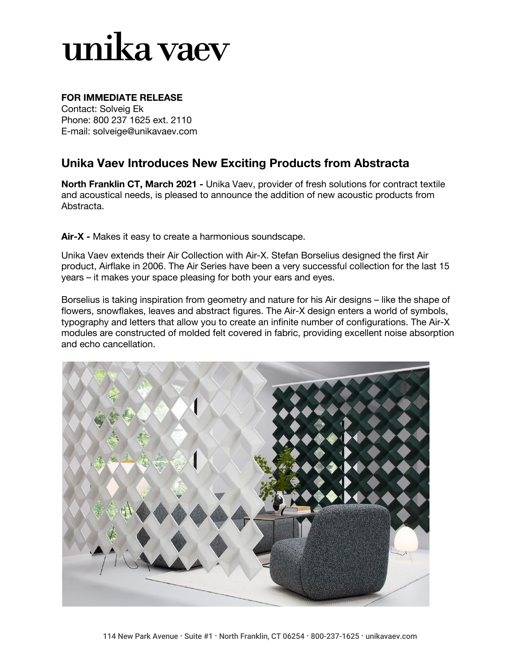# unika vaev

### **FOR IMMEDIATE RELEASE**

Contact: Solveig Ek Phone: 800 237 1625 ext. 2110 E-mail: solveige@unikavaev.com

### **Unika Vaev Introduces New Exciting Products from Abstracta**

**North Franklin CT, March 2021 -** Unika Vaev, provider of fresh solutions for contract textile and acoustical needs, is pleased to announce the addition of new acoustic products from Abstracta.

**Air-X -** Makes it easy to create a harmonious soundscape.

Unika Vaev extends their Air Collection with Air-X. Stefan Borselius designed the first Air product, Airflake in 2006. The Air Series have been a very successful collection for the last 15 years – it makes your space pleasing for both your ears and eyes.

Borselius is taking inspiration from geometry and nature for his Air designs – like the shape of flowers, snowflakes, leaves and abstract figures. The Air-X design enters a world of symbols, typography and letters that allow you to create an infinite number of configurations. The Air-X modules are constructed of molded felt covered in fabric, providing excellent noise absorption and echo cancellation.